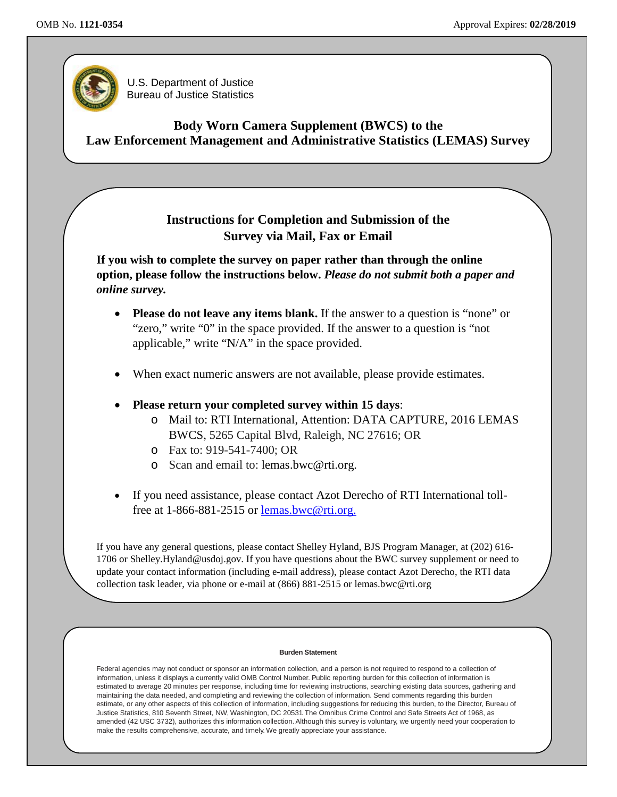

U.S. Department of Justice Bureau of Justice Statistics

**Body Worn Camera Supplement (BWCS) to the Law Enforcement Management and Administrative Statistics (LEMAS) Survey**

## **Instructions for Completion and Submission of the Survey via Mail, Fax or Email**

**If you wish to complete the survey on paper rather than through the online option, please follow the instructions below.** *Please do not submit both a paper and online survey.*

- **Please do not leave any items blank.** If the answer to a question is "none" or "zero," write "0" in the space provided. If the answer to a question is "not applicable," write "N/A" in the space provided.
- When exact numeric answers are not available, please provide estimates.
- **Please return your completed survey within 15 days**:
	- o Mail to: RTI International, Attention: DATA CAPTURE, 2016 LEMAS BWCS, 5265 Capital Blvd, Raleigh, NC 27616; OR
	- o Fax to: 919-541-7400; OR
	- o Scan and email to: [lemas.bwc@rti.org.](mailto:lemas.bwc@rti.org)
- If you need assistance, please contact Azot Derecho of RTI International tollfree at 1-866-881-2515 or [lemas.bwc@rti.org.](mailto:lemas.bwc@rti.org)

If you have any general questions, please contact Shelley Hyland, BJS Program Manager, at (202) 616- 1706 or [Shelley.Hyland@usdoj.gov.](mailto:Shelley.Hyland@usdoj.gov) If you have questions about the BWC survey supplement or need to update your contact information (including e-mail address), please contact Azot Derecho, the RTI data collection task leader, via phone or e-mail at (866) 881-2515 or [lemas.bwc@rti.org](mailto:lemas.bwc@rti.org)

#### **Burden Statement**

Federal agencies may not conduct or sponsor an information collection, and a person is not required to respond to a collection of information, unless it displays a currently valid OMB Control Number. Public reporting burden for this collection of information is estimated to average 20 minutes per response, including time for reviewing instructions, searching existing data sources, gathering and maintaining the data needed, and completing and reviewing the collection of information. Send comments regarding this burden estimate, or any other aspects of this collection of information, including suggestions for reducing this burden, to the Director, Bureau of Justice Statistics, 810 Seventh Street, NW, Washington, DC 20531. The Omnibus Crime Control and Safe Streets Act of 1968, as amended (42 USC 3732), authorizes this information collection. Although this survey is voluntary, we urgently need your cooperation to make the results comprehensive, accurate, and timely. We greatly appreciate your assistance.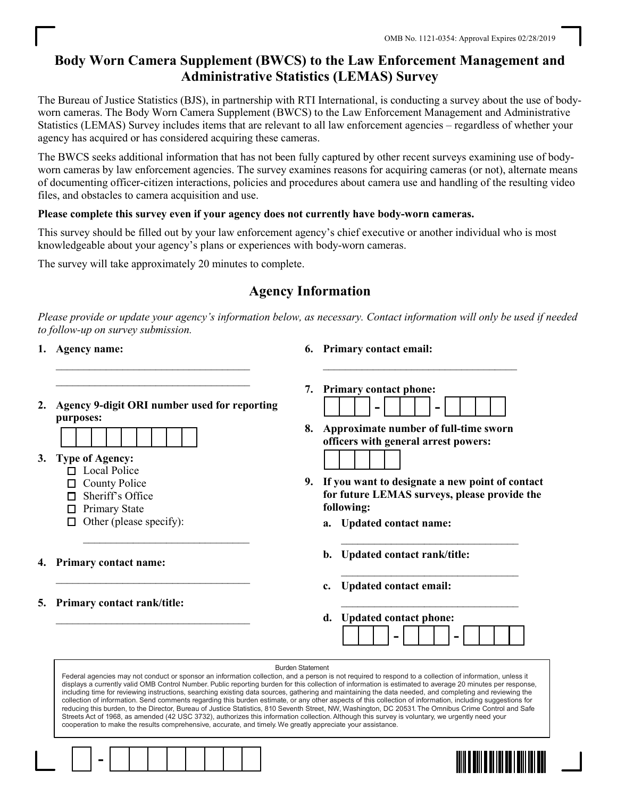# Body Worn Camera Supplement (BWCS) to the Law Enforcement Management and Administrative Statistics (LEMAS) Survey

The Bureau of Justice Statistics (BJS), in partnership with RTI International, is conducting a survey about the use of bodyworn cameras. The Body Worn Camera Supplement (BWCS) to the Law Enforcement Management and Administrative Statistics (LEMAS) Survey includes items that are relevant to all law enforcement agencies – regardless of whether your agency has acquired or has considered acquiring these cameras.

The BWCS seeks additional information that has not been fully captured by other recent surveys examining use of bodyworn cameras by law enforcement agencies. The survey examines reasons for acquiring cameras (or not), alternate means of documenting officer-citizen interactions, policies and procedures about camera use and handling of the resulting video files, and obstacles to camera acquisition and use.

## Please complete this survey even if your agency does not currently have body-worn cameras.

This survey should be filled out by your law enforcement agency's chief executive or another individual who is most knowledgeable about your agency's plans or experiences with body-worn cameras.

The survey will take approximately 20 minutes to complete.

# Agency Information

Please provide or update your agency's information below, as necessary. Contact information will only be used if needed to follow-up on survey submission.

1. Agency name:

- 6. Primary contact email:
- 2. Agency 9-digit ORI number used for reporting purposes:

 $\mathcal{L}=\frac{1}{2}$  , where  $\mathcal{L}=\frac{1}{2}$  , where  $\mathcal{L}=\frac{1}{2}$  $\mathcal{L}=\frac{1}{2}$  , where  $\mathcal{L}=\frac{1}{2}$  , where  $\mathcal{L}=\frac{1}{2}$ 



- 3. Type of Agency:
	- □ Local Police
	- □ County Police
	- $\Box$  Sheriff's Office
	- $\Box$  Primary State
	- $\Box$  Other (please specify):

 $\mathcal{L}=\frac{1}{2} \sum_{i=1}^{n} \frac{1}{2} \sum_{i=1}^{n} \frac{1}{2} \sum_{i=1}^{n} \frac{1}{2} \sum_{i=1}^{n} \frac{1}{2} \sum_{i=1}^{n} \frac{1}{2} \sum_{i=1}^{n} \frac{1}{2} \sum_{i=1}^{n} \frac{1}{2} \sum_{i=1}^{n} \frac{1}{2} \sum_{i=1}^{n} \frac{1}{2} \sum_{i=1}^{n} \frac{1}{2} \sum_{i=1}^{n} \frac{1}{2} \sum_{i=1}^{n} \frac{1}{2} \sum_{$ 

\_\_\_\_\_\_\_\_\_\_\_\_\_\_\_\_\_\_\_\_\_\_\_\_\_\_\_\_\_\_\_\_\_\_\_

\_\_\_\_\_\_\_\_\_\_\_\_\_\_\_\_\_\_\_\_\_\_\_\_\_\_\_\_\_\_\_\_\_\_\_

- 4. Primary contact name:
- 5. Primary contact rank/title:

 $\mathcal{L}_\text{max}$  , where  $\mathcal{L}_\text{max}$  is the set of  $\mathcal{L}_\text{max}$ 7. Primary contact phone:



- 8. Approximate number of full-time sworn officers with general arrest powers:
- 9. If you want to designate a new point of contact for future LEMAS surveys, please provide the following:

 $\frac{1}{2}$  ,  $\frac{1}{2}$  ,  $\frac{1}{2}$  ,  $\frac{1}{2}$  ,  $\frac{1}{2}$  ,  $\frac{1}{2}$  ,  $\frac{1}{2}$  ,  $\frac{1}{2}$  ,  $\frac{1}{2}$  ,  $\frac{1}{2}$  ,  $\frac{1}{2}$  ,  $\frac{1}{2}$  ,  $\frac{1}{2}$  ,  $\frac{1}{2}$  ,  $\frac{1}{2}$  ,  $\frac{1}{2}$  ,  $\frac{1}{2}$  ,  $\frac{1}{2}$  ,  $\frac{1$ 

 $\mathcal{L}=\{1,2,3,4,5\}$ 

 $\mathcal{L}=\{1,2,3,4,5\}$ 

- a. Updated contact name:
- b. Updated contact rank/title:
- c. Updated contact email:

d. Updated contact phone: - <u>| | |</u> | -

|  |  |  |  |  | <b>Burden Statement</b><br>Federal agencies may not conduct or sponsor an information collection, and a person is not required to respond to a collection of information, unless it<br>displays a currently valid OMB Control Number. Public reporting burden for this collection of information is estimated to average 20 minutes per response,<br>including time for reviewing instructions, searching existing data sources, gathering and maintaining the data needed, and completing and reviewing the<br>collection of information. Send comments regarding this burden estimate, or any other aspects of this collection of information, including suggestions for<br>reducing this burden, to the Director, Bureau of Justice Statistics, 810 Seventh Street, NW, Washington, DC 20531. The Omnibus Crime Control and Safe<br>Streets Act of 1968, as amended (42 USC 3732), authorizes this information collection. Although this survey is voluntary, we urgently need your<br>cooperation to make the results comprehensive, accurate, and timely. We greatly appreciate your assistance. |
|--|--|--|--|--|-------------------------------------------------------------------------------------------------------------------------------------------------------------------------------------------------------------------------------------------------------------------------------------------------------------------------------------------------------------------------------------------------------------------------------------------------------------------------------------------------------------------------------------------------------------------------------------------------------------------------------------------------------------------------------------------------------------------------------------------------------------------------------------------------------------------------------------------------------------------------------------------------------------------------------------------------------------------------------------------------------------------------------------------------------------------------------------------------------|
|  |  |  |  |  | <u> IIII A AII A AI IAI AAN IAI I</u>                                                                                                                                                                                                                                                                                                                                                                                                                                                                                                                                                                                                                                                                                                                                                                                                                                                                                                                                                                                                                                                                 |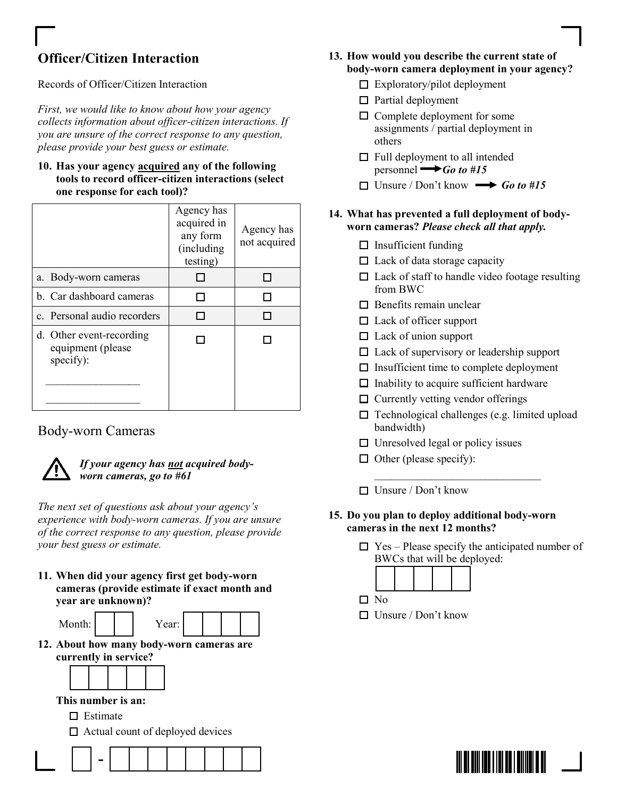# Officer/Citizen Interaction

## Records of Officer/Citizen Interaction

First, we would like to know about how your agency collects information about officer-citizen interactions. If you are unsure of the correct response to any question, please provide your best guess or estimate.

#### 10. Has your agency acquired any of the following tools to record officer-citizen interactions (select one response for each tool)?

|                                                            | Agency has<br>acquired in<br>any form<br>(including<br>testing) | Agency has<br>not acquired |
|------------------------------------------------------------|-----------------------------------------------------------------|----------------------------|
| a. Body-worn cameras                                       |                                                                 |                            |
| b. Car dashboard cameras                                   |                                                                 |                            |
| c. Personal audio recorders                                |                                                                 |                            |
| d. Other event-recording<br>equipment (please<br>specify): |                                                                 |                            |

## Body-worn Cameras



## If your agency has not acquired bodyworn cameras, go to #61

The next set of questions ask about your agency's experience with body-worn cameras. If you are unsure of the correct response to any question, please provide your best guess or estimate.

11. When did your agency first get body-worn cameras (provide estimate if exact month and year are unknown)?

- Year:
- 12. About how many body-worn cameras are currently in service?



This number is an:

- $\Box$  Estimate
- $\Box$  Actual count of deployed devices



- 13. How would you describe the current state of body-worn camera deployment in your agency?
	- $\Box$  Exploratory/pilot deployment
	- $\Box$  Partial deployment
	- $\Box$  Complete deployment for some assignments / partial deployment in others
	- $\Box$  Full deployment to all intended personnel  $\rightarrow$  Go to #15
	- $\Box$  Unsure / Don't know  $\longrightarrow$  Go to #15

## 14. What has prevented a full deployment of bodyworn cameras? Please check all that apply.

- $\Box$  Insufficient funding
- $\Box$  Lack of data storage capacity
- $\Box$  Lack of staff to handle video footage resulting from BWC
- $\Box$  Benefits remain unclear
- $\Box$  Lack of officer support
- $\Box$  Lack of union support
- $\Box$  Lack of supervisory or leadership support
- $\Box$  Insufficient time to complete deployment
- $\Box$  Inability to acquire sufficient hardware
- $\Box$  Currently vetting vendor offerings
- $\Box$  Technological challenges (e.g. limited upload bandwidth)
- $\Box$  Unresolved legal or policy issues
- $\Box$  Other (please specify):
- $\Box$  Unsure / Don't know
- 15. Do you plan to deploy additional body-worn cameras in the next 12 months?

 $\mathcal{L}=\mathcal{L}=\mathcal{L}=\mathcal{L}=\mathcal{L}=\mathcal{L}=\mathcal{L}=\mathcal{L}=\mathcal{L}=\mathcal{L}=\mathcal{L}=\mathcal{L}=\mathcal{L}=\mathcal{L}=\mathcal{L}=\mathcal{L}=\mathcal{L}=\mathcal{L}=\mathcal{L}=\mathcal{L}=\mathcal{L}=\mathcal{L}=\mathcal{L}=\mathcal{L}=\mathcal{L}=\mathcal{L}=\mathcal{L}=\mathcal{L}=\mathcal{L}=\mathcal{L}=\mathcal{L}=\mathcal{L}=\mathcal{L}=\mathcal{L}=\mathcal{L}=\mathcal{L}=\mathcal{$ 

 $\Box$  Yes – Please specify the anticipated number of BWCs that will be deployed:



- 
- $\Box$  Unsure / Don't know

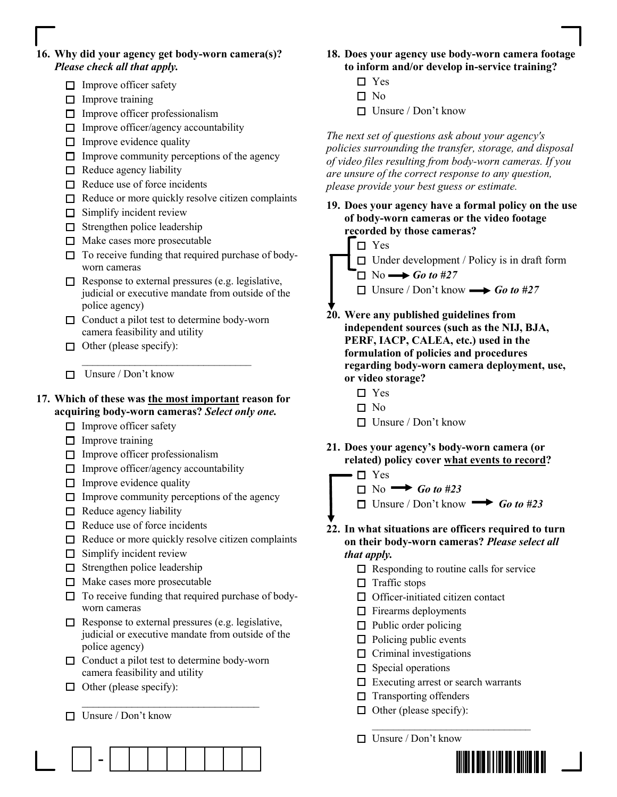### 16. Why did your agency get body-worn camera(s)? Please check all that apply.

- $\Box$  Improve officer safety
- $\Box$  Improve training
- $\Box$  Improve officer professionalism
- $\Box$  Improve officer/agency accountability
- $\Box$  Improve evidence quality
- $\Box$  Improve community perceptions of the agency
- $\Box$  Reduce agency liability
- $\Box$  Reduce use of force incidents
- $\Box$  Reduce or more quickly resolve citizen complaints
- $\Box$  Simplify incident review
- $\Box$  Strengthen police leadership
- $\Box$  Make cases more prosecutable
- $\Box$  To receive funding that required purchase of bodyworn cameras
- $\Box$  Response to external pressures (e.g. legislative, judicial or executive mandate from outside of the police agency)
- $\Box$  Conduct a pilot test to determine body-worn camera feasibility and utility
- $\Box$  Other (please specify):
- $\Box$  Unsure / Don't know

#### 17. Which of these was the most important reason for acquiring body-worn cameras? Select only one.

\_\_\_\_\_\_\_\_\_\_\_\_\_\_\_\_\_\_\_\_\_\_\_\_\_\_\_\_\_\_\_\_

- $\Box$  Improve officer safety
- $\Box$  Improve training
- $\Box$  Improve officer professionalism
- $\Box$  Improve officer/agency accountability
- $\Box$  Improve evidence quality
- $\Box$  Improve community perceptions of the agency
- $\Box$  Reduce agency liability
- $\Box$  Reduce use of force incidents
- $\Box$  Reduce or more quickly resolve citizen complaints
- $\Box$  Simplify incident review
- $\Box$  Strengthen police leadership
- $\Box$  Make cases more prosecutable
- $\Box$  To receive funding that required purchase of bodyworn cameras
- $\Box$  Response to external pressures (e.g. legislative, judicial or executive mandate from outside of the police agency)
- $\Box$  Conduct a pilot test to determine body-worn camera feasibility and utility

 $\overline{\phantom{a}}$  ,  $\overline{\phantom{a}}$  ,  $\overline{\phantom{a}}$  ,  $\overline{\phantom{a}}$  ,  $\overline{\phantom{a}}$  ,  $\overline{\phantom{a}}$  ,  $\overline{\phantom{a}}$  ,  $\overline{\phantom{a}}$  ,  $\overline{\phantom{a}}$  ,  $\overline{\phantom{a}}$  ,  $\overline{\phantom{a}}$  ,  $\overline{\phantom{a}}$  ,  $\overline{\phantom{a}}$  ,  $\overline{\phantom{a}}$  ,  $\overline{\phantom{a}}$  ,  $\overline{\phantom{a}}$ 

- $\Box$  Other (please specify):
- $\Box$  Unsure / Don't know

-



- 18. Does your agency use body-worn camera footage to inform and/or develop in-service training?
	- □ Yes
	- $\square$  No
	- $\Box$  Unsure / Don't know

The next set of questions ask about your agency's policies surrounding the transfer, storage, and disposal of video files resulting from body-worn cameras. If you are unsure of the correct response to any question, please provide your best guess or estimate.

19. Does your agency have a formal policy on the use of body-worn cameras or the video footage recorded by those cameras?

□ Yes



 $\Box$  Unsure / Don't know  $\longrightarrow$  Go to #27

- 20. Were any published guidelines from independent sources (such as the NIJ, BJA, PERF, IACP, CALEA, etc.) used in the formulation of policies and procedures regarding body-worn camera deployment, use, or video storage?
	- □ Yes
	- $\square$  No
	- Unsure / Don't know
- 21. Does your agency's body-worn camera (or related) policy cover what events to record?



- 22. In what situations are officers required to turn on their body-worn cameras? Please select all that apply.
	- $\Box$  Responding to routine calls for service
	- $\Box$  Traffic stops
	- $\Box$  Officer-initiated citizen contact
	- $\Box$  Firearms deployments
	- $\Box$  Public order policing
	- $\Box$  Policing public events
	- $\Box$  Criminal investigations
	- $\Box$  Special operations
	- $\Box$  Executing arrest or search warrants

 $\overline{\phantom{a}}$  , and the state of the state of the state of the state of the state of the state of the state of the state of the state of the state of the state of the state of the state of the state of the state of the stat

- $\Box$  Transporting offenders
- $\Box$  Other (please specify):
- $\Box$  Unsure / Don't know

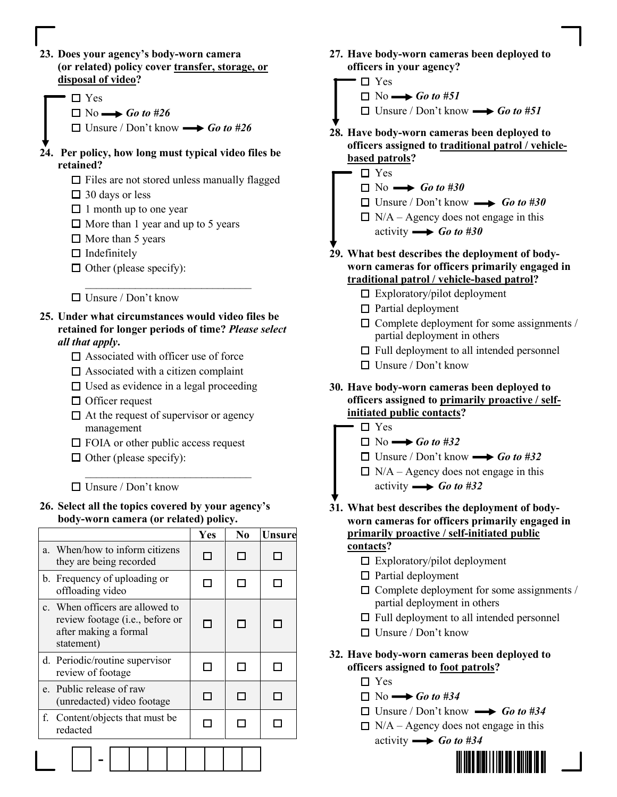- 23. Does your agency's body-worn camera (or related) policy cover transfer, storage, or disposal of video?
	- Yes
		- $\Box$  No  $\longrightarrow$  Go to #26
		- $\Box$  Unsure / Don't know  $\longrightarrow$  Go to #26
- 24. Per policy, how long must typical video files be retained?
	- $\Box$  Files are not stored unless manually flagged
	- $\Box$  30 days or less
	- $\Box$  1 month up to one year
	- $\Box$  More than 1 year and up to 5 years

 $\mathcal{L}=\mathcal{L}=\mathcal{L}=\mathcal{L}=\mathcal{L}=\mathcal{L}=\mathcal{L}=\mathcal{L}=\mathcal{L}=\mathcal{L}=\mathcal{L}=\mathcal{L}=\mathcal{L}=\mathcal{L}=\mathcal{L}=\mathcal{L}=\mathcal{L}=\mathcal{L}=\mathcal{L}=\mathcal{L}=\mathcal{L}=\mathcal{L}=\mathcal{L}=\mathcal{L}=\mathcal{L}=\mathcal{L}=\mathcal{L}=\mathcal{L}=\mathcal{L}=\mathcal{L}=\mathcal{L}=\mathcal{L}=\mathcal{L}=\mathcal{L}=\mathcal{L}=\mathcal{L}=\mathcal{$ 

- $\Box$  More than 5 years
- $\Box$  Indefinitely
- $\Box$  Other (please specify):
- $\Box$  Unsure / Don't know
- 25. Under what circumstances would video files be retained for longer periods of time? Please select all that apply.
	- $\Box$  Associated with officer use of force
	- $\square$  Associated with a citizen complaint
	- $\Box$  Used as evidence in a legal proceeding
	- $\Box$  Officer request
	- $\Box$  At the request of supervisor or agency management
	- $\Box$  FOIA or other public access request
	- $\Box$  Other (please specify):
	- $\Box$  Unsure / Don't know
- 26. Select all the topics covered by your agency's body-worn camera (or related) policy.

 $\mathcal{L}=\mathcal{L}=\mathcal{L}=\mathcal{L}=\mathcal{L}=\mathcal{L}=\mathcal{L}=\mathcal{L}=\mathcal{L}=\mathcal{L}=\mathcal{L}=\mathcal{L}=\mathcal{L}=\mathcal{L}=\mathcal{L}=\mathcal{L}=\mathcal{L}=\mathcal{L}=\mathcal{L}=\mathcal{L}=\mathcal{L}=\mathcal{L}=\mathcal{L}=\mathcal{L}=\mathcal{L}=\mathcal{L}=\mathcal{L}=\mathcal{L}=\mathcal{L}=\mathcal{L}=\mathcal{L}=\mathcal{L}=\mathcal{L}=\mathcal{L}=\mathcal{L}=\mathcal{L}=\mathcal{$ 

|                                                                                                           | Yes | N <sub>0</sub> | <b>Unsure</b> |
|-----------------------------------------------------------------------------------------------------------|-----|----------------|---------------|
| a. When/how to inform citizens<br>they are being recorded                                                 |     |                |               |
| b. Frequency of uploading or<br>offloading video                                                          | n l |                |               |
| c. When officers are allowed to<br>review footage (i.e., before or<br>after making a formal<br>statement) |     |                |               |
| d. Periodic/routine supervisor<br>review of footage                                                       |     |                |               |
| e. Public release of raw<br>(unredacted) video footage                                                    |     |                |               |
| f. Content/objects that must be<br>redacted                                                               |     |                |               |
|                                                                                                           |     |                |               |

- 27. Have body-worn cameras been deployed to officers in your agency?
- □ Yes  $\Box$  No  $\longrightarrow$  Go to #51  $\Box$  Unsure / Don't know  $\longrightarrow$  Go to #51 28. Have body-worn cameras been deployed to officers assigned to traditional patrol / vehiclebased patrols? □ Yes
	- $\Box$  No  $\longrightarrow$  Go to #30
	- $\Box$  Unsure / Don't know  $\longrightarrow$  Go to #30
	- $\Box$  N/A Agency does not engage in this activity  $\longrightarrow$  Go to #30
- 29. What best describes the deployment of bodyworn cameras for officers primarily engaged in traditional patrol / vehicle-based patrol?
	- $\Box$  Exploratory/pilot deployment
	- $\Box$  Partial deployment
	- $\Box$  Complete deployment for some assignments / partial deployment in others
	- $\Box$  Full deployment to all intended personnel
	- Unsure / Don't know
- 30. Have body-worn cameras been deployed to officers assigned to primarily proactive / selfinitiated public contacts?
	- □ Yes
		- $\Box$  No  $\rightarrow$  Go to #32
		- $\Box$  Unsure / Don't know  $\longrightarrow$  Go to #32
		- $\Box$  N/A Agency does not engage in this activity  $\longrightarrow$  Go to #32
- 31. What best describes the deployment of bodyworn cameras for officers primarily engaged in primarily proactive / self-initiated public contacts?
	- $\Box$  Exploratory/pilot deployment
	- $\Box$  Partial deployment
	- $\Box$  Complete deployment for some assignments / partial deployment in others
	- $\Box$  Full deployment to all intended personnel
	- $\Box$  Unsure / Don't know
- 32. Have body-worn cameras been deployed to officers assigned to foot patrols?
	- □ Yes
	- $\Box$  No  $\longrightarrow$  Go to #34
	- $\Box$  Unsure / Don't know  $\longrightarrow$  Go to #34
	- $\Box$  N/A Agency does not engage in this
		- activity  $\longrightarrow$  Go to #34

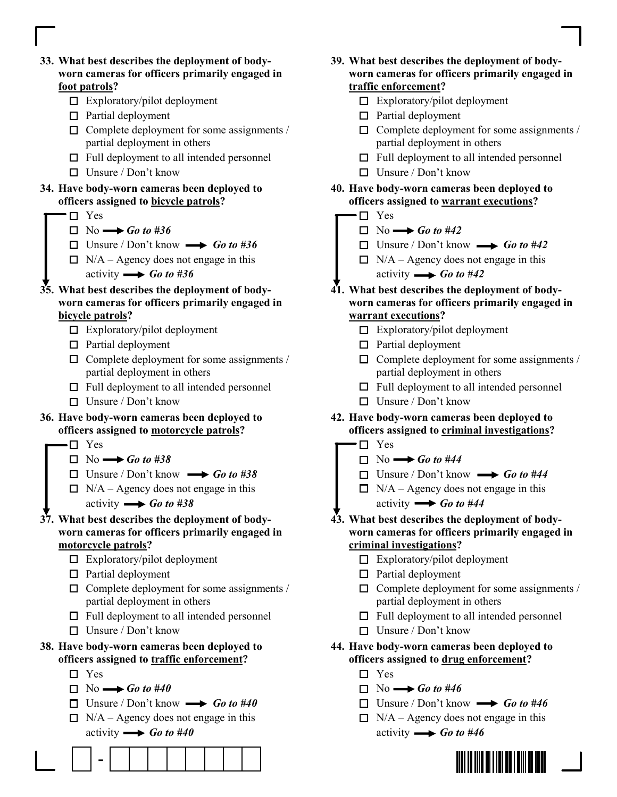

|     | 39. What best describes the deployment of body-                                              |
|-----|----------------------------------------------------------------------------------------------|
|     | worn cameras for officers primarily engaged in                                               |
|     | traffic enforcement?                                                                         |
|     | $\Box$ Exploratory/pilot deployment                                                          |
|     | $\Box$ Partial deployment                                                                    |
|     | $\Box$ Complete deployment for some assignments /<br>partial deployment in others            |
|     | $\Box$ Full deployment to all intended personnel                                             |
|     | $\Box$ Unsure / Don't know                                                                   |
|     | 40. Have body-worn cameras been deployed to                                                  |
| П   | officers assigned to warrant executions?<br>Yes                                              |
|     | $\Box$ No $\longrightarrow$ Go to #42                                                        |
|     | $\Box$ Unsure / Don't know $\longrightarrow$ Go to #42                                       |
|     | $\Box$ N/A – Agency does not engage in this                                                  |
|     | activity $\longrightarrow$ Go to #42                                                         |
|     | 41. What best describes the deployment of body-                                              |
|     | worn cameras for officers primarily engaged in                                               |
|     | warrant executions?                                                                          |
|     | $\Box$ Exploratory/pilot deployment                                                          |
|     | $\Box$ Partial deployment                                                                    |
|     | $\Box$ Complete deployment for some assignments /                                            |
|     | partial deployment in others                                                                 |
|     | $\Box$ Full deployment to all intended personnel                                             |
|     | $\Box$ Unsure / Don't know                                                                   |
|     | 42. Have body-worn cameras been deployed to<br>officers assigned to criminal investigations? |
| П   | Yes                                                                                          |
|     | $\Box$ No $\rightarrow$ Go to #44                                                            |
|     | $\Box$ Unsure / Don't know $\longrightarrow$ Go to #44                                       |
|     | $\Box$ N/A – Agency does not engage in this                                                  |
|     | activity $\longrightarrow$ Go to #44                                                         |
|     | 43. What best describes the deployment of body-                                              |
|     | worn cameras for officers primarily engaged in                                               |
|     | criminal investigations?                                                                     |
| ப   | Exploratory/pilot deployment                                                                 |
|     | $\Box$ Partial deployment                                                                    |
|     | $\Box$ Complete deployment for some assignments /<br>partial deployment in others            |
| □   | Full deployment to all intended personnel                                                    |
|     | Unsure / Don't know                                                                          |
|     |                                                                                              |
|     | 44. Have body-worn cameras been deployed to<br>officers assigned to drug enforcement?        |
| l I | Yes                                                                                          |
|     | $\Box$ No $\longrightarrow$ Go to #46                                                        |
|     | $\Box$ Unsure / Don't know $\longrightarrow$ Go to #46                                       |
|     | $\Box$ N/A – Agency does not engage in this                                                  |
|     | activity $\longrightarrow$ Go to #46                                                         |
|     |                                                                                              |

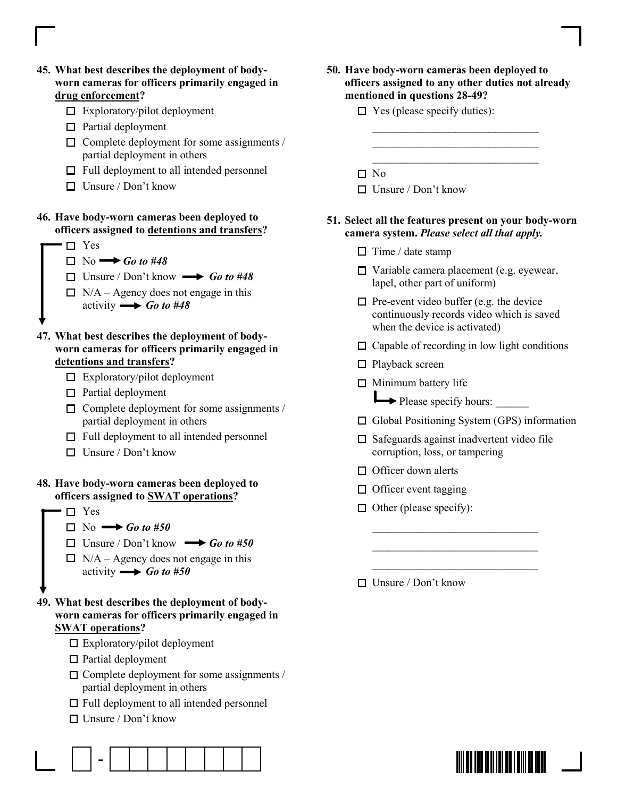- 45. What best describes the deployment of bodyworn cameras for officers primarily engaged in drug enforcement?
	- $\Box$  Exploratory/pilot deployment
	- $\Box$  Partial deployment
	- $\Box$  Complete deployment for some assignments / partial deployment in others
	- $\Box$  Full deployment to all intended personnel
	- $\Box$  Unsure / Don't know

## 46. Have body-worn cameras been deployed to officers assigned to detentions and transfers?

- □ Yes
	- $\Box$  No  $\rightarrow$  Go to #48
	- $\Box$  Unsure / Don't know  $\longrightarrow$  Go to #48
	- $\Box$  N/A Agency does not engage in this activity  $\longrightarrow$  Go to #48
- 47. What best describes the deployment of bodyworn cameras for officers primarily engaged in detentions and transfers?
	- $\Box$  Exploratory/pilot deployment
	- $\Box$  Partial deployment
	- $\Box$  Complete deployment for some assignments / partial deployment in others
	- $\Box$  Full deployment to all intended personnel
	- $\Box$  Unsure / Don't know

## 48. Have body-worn cameras been deployed to officers assigned to SWAT operations?

- □ Yes
	- $\Box$  No  $\rightarrow$  Go to #50
	- $\Box$  Unsure / Don't know  $\longrightarrow$  Go to #50
	- $\Box$  N/A Agency does not engage in this activity  $\longrightarrow$  Go to #50
- 49. What best describes the deployment of bodyworn cameras for officers primarily engaged in **SWAT** operations?
	- $\Box$  Exploratory/pilot deployment
	- $\Box$  Partial deployment
	- $\Box$  Complete deployment for some assignments / partial deployment in others
	- $\Box$  Full deployment to all intended personnel
	- Unsure / Don't know

50. Have body-worn cameras been deployed to officers assigned to any other duties not already mentioned in questions 28-49?

 $\mathcal{L}=\frac{1}{2}$  , where  $\mathcal{L}=\frac{1}{2}$  , where  $\mathcal{L}=\frac{1}{2}$  $\mathcal{L}=\frac{1}{2}$  , where  $\mathcal{L}=\frac{1}{2}$  , where  $\mathcal{L}=\frac{1}{2}$  $\mathcal{L}=\frac{1}{2}$  , where  $\mathcal{L}=\frac{1}{2}$  , where  $\mathcal{L}=\frac{1}{2}$ 

- $\Box$  Yes (please specify duties):
- $\square$  No
- $\Box$  Unsure / Don't know

### 51. Select all the features present on your body-worn camera system. Please select all that apply.

- $\Box$  Time / date stamp
- $\Box$  Variable camera placement (e.g. eyewear, lapel, other part of uniform)
- $\Box$  Pre-event video buffer (e.g. the device continuously records video which is saved when the device is activated)
- $\Box$  Capable of recording in low light conditions
- □ Playback screen
- $\Box$  Minimum battery life

 $\rightharpoonup$  Please specify hours:  $\rightharpoonup$ 

□ Global Positioning System (GPS) information

 $\Box$  Safeguards against inadvertent video file corruption, loss, or tampering

 $\overline{\phantom{a}}$  ,  $\overline{\phantom{a}}$  ,  $\overline{\phantom{a}}$  ,  $\overline{\phantom{a}}$  ,  $\overline{\phantom{a}}$  ,  $\overline{\phantom{a}}$  ,  $\overline{\phantom{a}}$  ,  $\overline{\phantom{a}}$  ,  $\overline{\phantom{a}}$  ,  $\overline{\phantom{a}}$  ,  $\overline{\phantom{a}}$  ,  $\overline{\phantom{a}}$  ,  $\overline{\phantom{a}}$  ,  $\overline{\phantom{a}}$  ,  $\overline{\phantom{a}}$  ,  $\overline{\phantom{a}}$  $\mathcal{L}_\text{max} = \frac{1}{2} \sum_{i=1}^{n} \frac{1}{2} \sum_{i=1}^{n} \frac{1}{2} \sum_{i=1}^{n} \frac{1}{2} \sum_{i=1}^{n} \frac{1}{2} \sum_{i=1}^{n} \frac{1}{2} \sum_{i=1}^{n} \frac{1}{2} \sum_{i=1}^{n} \frac{1}{2} \sum_{i=1}^{n} \frac{1}{2} \sum_{i=1}^{n} \frac{1}{2} \sum_{i=1}^{n} \frac{1}{2} \sum_{i=1}^{n} \frac{1}{2} \sum_{i=1}^{n} \frac{1$  $\mathcal{L}_\text{max} = \frac{1}{2} \sum_{i=1}^{n} \frac{1}{2} \sum_{i=1}^{n} \frac{1}{2} \sum_{i=1}^{n} \frac{1}{2} \sum_{i=1}^{n} \frac{1}{2} \sum_{i=1}^{n} \frac{1}{2} \sum_{i=1}^{n} \frac{1}{2} \sum_{i=1}^{n} \frac{1}{2} \sum_{i=1}^{n} \frac{1}{2} \sum_{i=1}^{n} \frac{1}{2} \sum_{i=1}^{n} \frac{1}{2} \sum_{i=1}^{n} \frac{1}{2} \sum_{i=1}^{n} \frac{1$ 

- $\Box$  Officer down alerts
- $\Box$  Officer event tagging
- $\Box$  Other (please specify):
- $\Box$  Unsure / Don't know

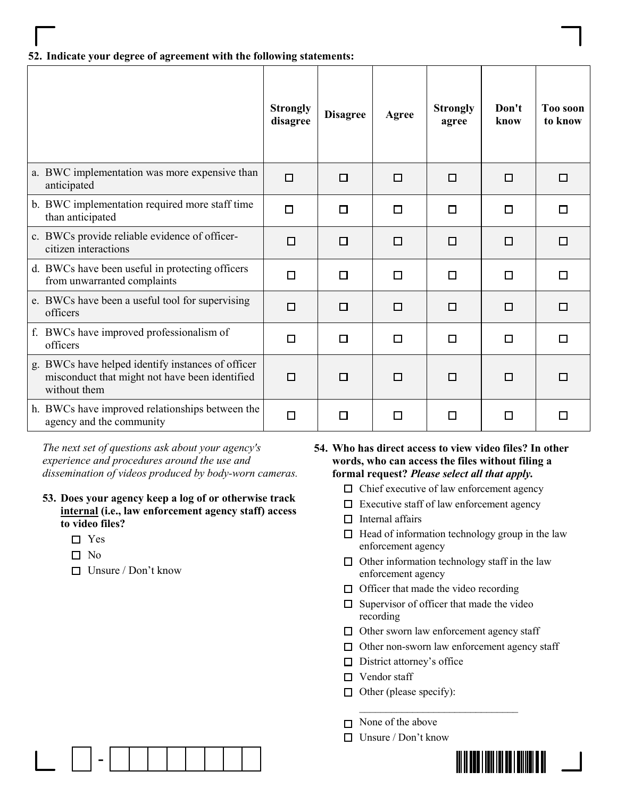#### 52. Indicate your degree of agreement with the following statements:

|                                                                                                                     | <b>Strongly</b><br>disagree | <b>Disagree</b> | Agree | <b>Strongly</b><br>agree | Don't<br>know | <b>Too soon</b><br>to know |
|---------------------------------------------------------------------------------------------------------------------|-----------------------------|-----------------|-------|--------------------------|---------------|----------------------------|
| a. BWC implementation was more expensive than<br>anticipated                                                        | $\Box$                      | □               | п     | П                        | □             | П                          |
| b. BWC implementation required more staff time<br>than anticipated                                                  | $\Box$                      | $\Box$          | □     | $\Box$                   | $\Box$        | П                          |
| c. BWCs provide reliable evidence of officer-<br>citizen interactions                                               | $\Box$                      | □               | п     | □                        | $\Box$        | П                          |
| d. BWCs have been useful in protecting officers<br>from unwarranted complaints                                      | $\Box$                      | П               | П     | п                        | П             | П                          |
| e. BWCs have been a useful tool for supervising<br>officers                                                         | $\Box$                      | □               | □     | □                        | $\Box$        | П                          |
| f. BWCs have improved professionalism of<br>officers                                                                | $\Box$                      | $\Box$          | П     | П                        | $\Box$        | П                          |
| g. BWCs have helped identify instances of officer<br>misconduct that might not have been identified<br>without them | $\Box$                      | П               | П     | П                        | □             |                            |
| h. BWCs have improved relationships between the<br>agency and the community                                         | $\Box$                      | □               | П     | П                        | $\Box$        |                            |

The next set of questions ask about your agency's experience and procedures around the use and dissemination of videos produced by body-worn cameras.

- 53. Does your agency keep a log of or otherwise track internal (i.e., law enforcement agency staff) access to video files?
	- □ Yes
	- $\Box$  No
	- $\Box$  Unsure / Don't know

54. Who has direct access to view video files? In other words, who can access the files without filing a formal request? Please select all that apply.

- $\Box$  Chief executive of law enforcement agency
- $\Box$  Executive staff of law enforcement agency
- $\Box$  Internal affairs
- $\Box$  Head of information technology group in the law enforcement agency
- $\Box$  Other information technology staff in the law enforcement agency
- $\Box$  Officer that made the video recording

 $\mathcal{L}_\mathcal{L}$  , which is a substitution of the set of the set of the set of the set of the set of the set of the set of the set of the set of the set of the set of the set of the set of the set of the set of the set of t

- $\Box$  Supervisor of officer that made the video recording
- $\Box$  Other sworn law enforcement agency staff
- $\Box$  Other non-sworn law enforcement agency staff
- $\Box$  District attorney's office
- □ Vendor staff
- $\Box$  Other (please specify):
- $\Box$  None of the above
- $\Box$  Unsure / Don't know



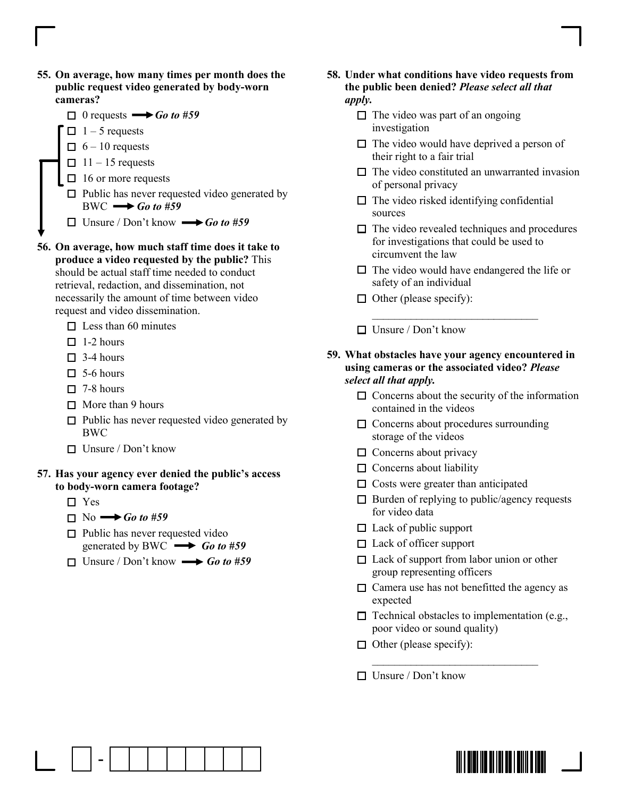- 55. On average, how many times per month does the public request video generated by body-worn cameras?
- $\Box$  0 requests  $\longrightarrow$  *Go to #59*  $\Box$  1 – 5 requests  $\Box$  6 – 10 requests  $\Box$  11 – 15 requests  $\Box$  16 or more requests  $\Box$  Public has never requested video generated by  $BWC \longrightarrow Go to #59$  $\Box$  Unsure / Don't know  $\longrightarrow$  Go to #59 56. On average, how much staff time does it take to

produce a video requested by the public? This should be actual staff time needed to conduct retrieval, redaction, and dissemination, not necessarily the amount of time between video request and video dissemination.

- $\Box$  Less than 60 minutes
- $\Box$  1-2 hours
- $\Box$  3-4 hours
- $\Box$  5-6 hours
- $\Box$  7-8 hours
- $\Box$  More than 9 hours
- $\square$  Public has never requested video generated by BWC
- $\Box$  Unsure / Don't know

#### 57. Has your agency ever denied the public's access to body-worn camera footage?

- □ Yes
- $\Box$  No  $\rightarrow$  Go to #59

-

- $\Box$  Public has never requested video generated by BWC  $\longrightarrow$  Go to #59
- $\Box$  Unsure / Don't know  $\longrightarrow$  Go to #59
- 58. Under what conditions have video requests from the public been denied? Please select all that apply.
	- $\Box$  The video was part of an ongoing investigation
	- $\Box$  The video would have deprived a person of their right to a fair trial
	- $\Box$  The video constituted an unwarranted invasion of personal privacy
	- $\Box$  The video risked identifying confidential sources
	- $\Box$  The video revealed techniques and procedures for investigations that could be used to circumvent the law
	- $\Box$  The video would have endangered the life or safety of an individual
	- $\Box$  Other (please specify):
	- $\Box$  Unsure / Don't know
- 59. What obstacles have your agency encountered in using cameras or the associated video? Please select all that apply.

 $\mathcal{L}_\text{max} = \frac{1}{2} \sum_{i=1}^{n} \frac{1}{2} \sum_{i=1}^{n} \frac{1}{2} \sum_{i=1}^{n} \frac{1}{2} \sum_{i=1}^{n} \frac{1}{2} \sum_{i=1}^{n} \frac{1}{2} \sum_{i=1}^{n} \frac{1}{2} \sum_{i=1}^{n} \frac{1}{2} \sum_{i=1}^{n} \frac{1}{2} \sum_{i=1}^{n} \frac{1}{2} \sum_{i=1}^{n} \frac{1}{2} \sum_{i=1}^{n} \frac{1}{2} \sum_{i=1}^{n} \frac{1$ 

- $\Box$  Concerns about the security of the information contained in the videos
- $\Box$  Concerns about procedures surrounding storage of the videos
- $\Box$  Concerns about privacy
- $\Box$  Concerns about liability
- $\square$  Costs were greater than anticipated
- $\Box$  Burden of replying to public/agency requests for video data
- $\Box$  Lack of public support
- $\Box$  Lack of officer support
- □ Lack of support from labor union or other group representing officers
- $\Box$  Camera use has not benefitted the agency as expected
- $\Box$  Technical obstacles to implementation (e.g., poor video or sound quality)

<u> III I III III II III IIII IIII </u>

 $\mathcal{L}=\mathcal{L}=\mathcal{L}=\mathcal{L}=\mathcal{L}=\mathcal{L}=\mathcal{L}=\mathcal{L}=\mathcal{L}=\mathcal{L}=\mathcal{L}=\mathcal{L}=\mathcal{L}=\mathcal{L}=\mathcal{L}=\mathcal{L}=\mathcal{L}=\mathcal{L}=\mathcal{L}=\mathcal{L}=\mathcal{L}=\mathcal{L}=\mathcal{L}=\mathcal{L}=\mathcal{L}=\mathcal{L}=\mathcal{L}=\mathcal{L}=\mathcal{L}=\mathcal{L}=\mathcal{L}=\mathcal{L}=\mathcal{L}=\mathcal{L}=\mathcal{L}=\mathcal{L}=\mathcal{$ 

- $\Box$  Other (please specify):
- $\Box$  Unsure / Don't know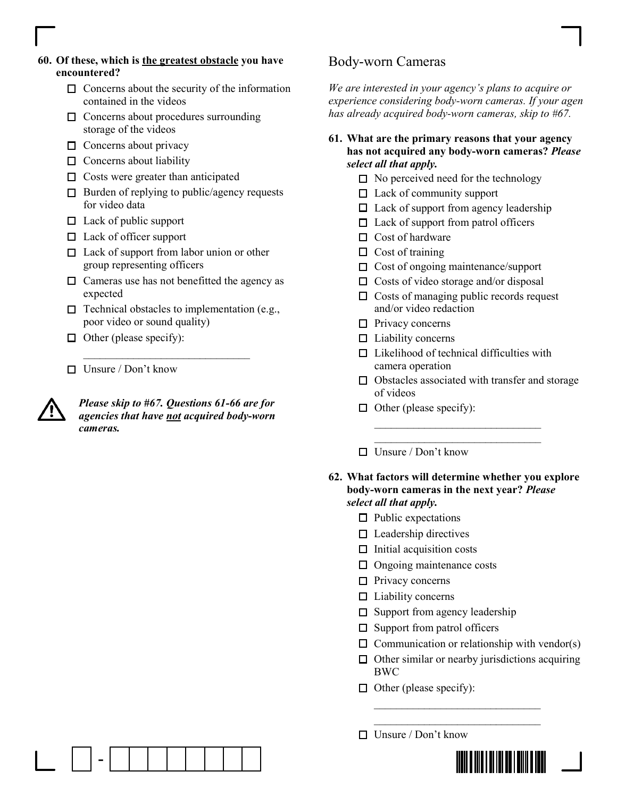- 60. Of these, which is the greatest obstacle you have encountered?
	- $\Box$  Concerns about the security of the information contained in the videos
	- $\Box$  Concerns about procedures surrounding storage of the videos
	- $\Box$  Concerns about privacy
	- $\Box$  Concerns about liability
	- $\Box$  Costs were greater than anticipated
	- $\Box$  Burden of replying to public/agency requests for video data
	- $\Box$  Lack of public support
	- $\Box$  Lack of officer support
	- □ Lack of support from labor union or other group representing officers
	- $\Box$  Cameras use has not benefitted the agency as expected
	- $\Box$  Technical obstacles to implementation (e.g., poor video or sound quality)

 $\mathcal{L}=\frac{1}{2} \sum_{i=1}^{n} \frac{1}{2} \sum_{i=1}^{n} \frac{1}{2} \sum_{i=1}^{n} \frac{1}{2} \sum_{i=1}^{n} \frac{1}{2} \sum_{i=1}^{n} \frac{1}{2} \sum_{i=1}^{n} \frac{1}{2} \sum_{i=1}^{n} \frac{1}{2} \sum_{i=1}^{n} \frac{1}{2} \sum_{i=1}^{n} \frac{1}{2} \sum_{i=1}^{n} \frac{1}{2} \sum_{i=1}^{n} \frac{1}{2} \sum_{i=1}^{n} \frac{1}{2} \sum_{$ 

- $\Box$  Other (please specify):
- $\Box$  Unsure / Don't know

-



Please skip to #67. Questions 61-66 are for agencies that have not acquired body-worn cameras.

## Body-worn Cameras

We are interested in your agency's plans to acquire or experience considering body-worn cameras. If your agen has already acquired body-worn cameras, skip to #67.

- 61. What are the primary reasons that your agency has not acquired any body-worn cameras? Please select all that apply.
	- $\Box$  No perceived need for the technology
	- $\Box$  Lack of community support
	- $\Box$  Lack of support from agency leadership
	- $\Box$  Lack of support from patrol officers
	- $\Box$  Cost of hardware
	- $\Box$  Cost of training
	- $\Box$  Cost of ongoing maintenance/support
	- $\Box$  Costs of video storage and/or disposal
	- $\Box$  Costs of managing public records request and/or video redaction
	- $\Box$  Privacy concerns
	- $\Box$  Liability concerns
	- $\Box$  Likelihood of technical difficulties with camera operation
	- $\Box$  Obstacles associated with transfer and storage of videos
	- $\Box$  Other (please specify):

 $\Box$  Unsure / Don't know

#### 62. What factors will determine whether you explore body-worn cameras in the next year? Please select all that apply.

 $\mathcal{L}=\mathcal{L}=\mathcal{L}=\mathcal{L}=\mathcal{L}=\mathcal{L}=\mathcal{L}=\mathcal{L}=\mathcal{L}=\mathcal{L}=\mathcal{L}=\mathcal{L}=\mathcal{L}=\mathcal{L}=\mathcal{L}=\mathcal{L}=\mathcal{L}=\mathcal{L}=\mathcal{L}=\mathcal{L}=\mathcal{L}=\mathcal{L}=\mathcal{L}=\mathcal{L}=\mathcal{L}=\mathcal{L}=\mathcal{L}=\mathcal{L}=\mathcal{L}=\mathcal{L}=\mathcal{L}=\mathcal{L}=\mathcal{L}=\mathcal{L}=\mathcal{L}=\mathcal{L}=\mathcal{$  $\mathcal{L}=\mathcal{L}=\mathcal{L}=\mathcal{L}=\mathcal{L}=\mathcal{L}=\mathcal{L}=\mathcal{L}=\mathcal{L}=\mathcal{L}=\mathcal{L}=\mathcal{L}=\mathcal{L}=\mathcal{L}=\mathcal{L}=\mathcal{L}=\mathcal{L}=\mathcal{L}=\mathcal{L}=\mathcal{L}=\mathcal{L}=\mathcal{L}=\mathcal{L}=\mathcal{L}=\mathcal{L}=\mathcal{L}=\mathcal{L}=\mathcal{L}=\mathcal{L}=\mathcal{L}=\mathcal{L}=\mathcal{L}=\mathcal{L}=\mathcal{L}=\mathcal{L}=\mathcal{L}=\mathcal{$ 

- $\Box$  Public expectations
- $\Box$  Leadership directives
- $\Box$  Initial acquisition costs
- $\Box$  Ongoing maintenance costs
- $\Box$  Privacy concerns
- $\Box$  Liability concerns
- $\square$  Support from agency leadership

 $\mathcal{L}=\frac{1}{2}$  , where  $\mathcal{L}=\frac{1}{2}$  , where  $\mathcal{L}=\frac{1}{2}$  $\mathcal{L}=\frac{1}{2}$  , where  $\mathcal{L}=\frac{1}{2}$  , where  $\mathcal{L}=\frac{1}{2}$ 

- $\square$  Support from patrol officers
- $\Box$  Communication or relationship with vendor(s)
- $\Box$  Other similar or nearby jurisdictions acquiring BWC
- $\Box$  Other (please specify):
- $\Box$  Unsure / Don't know